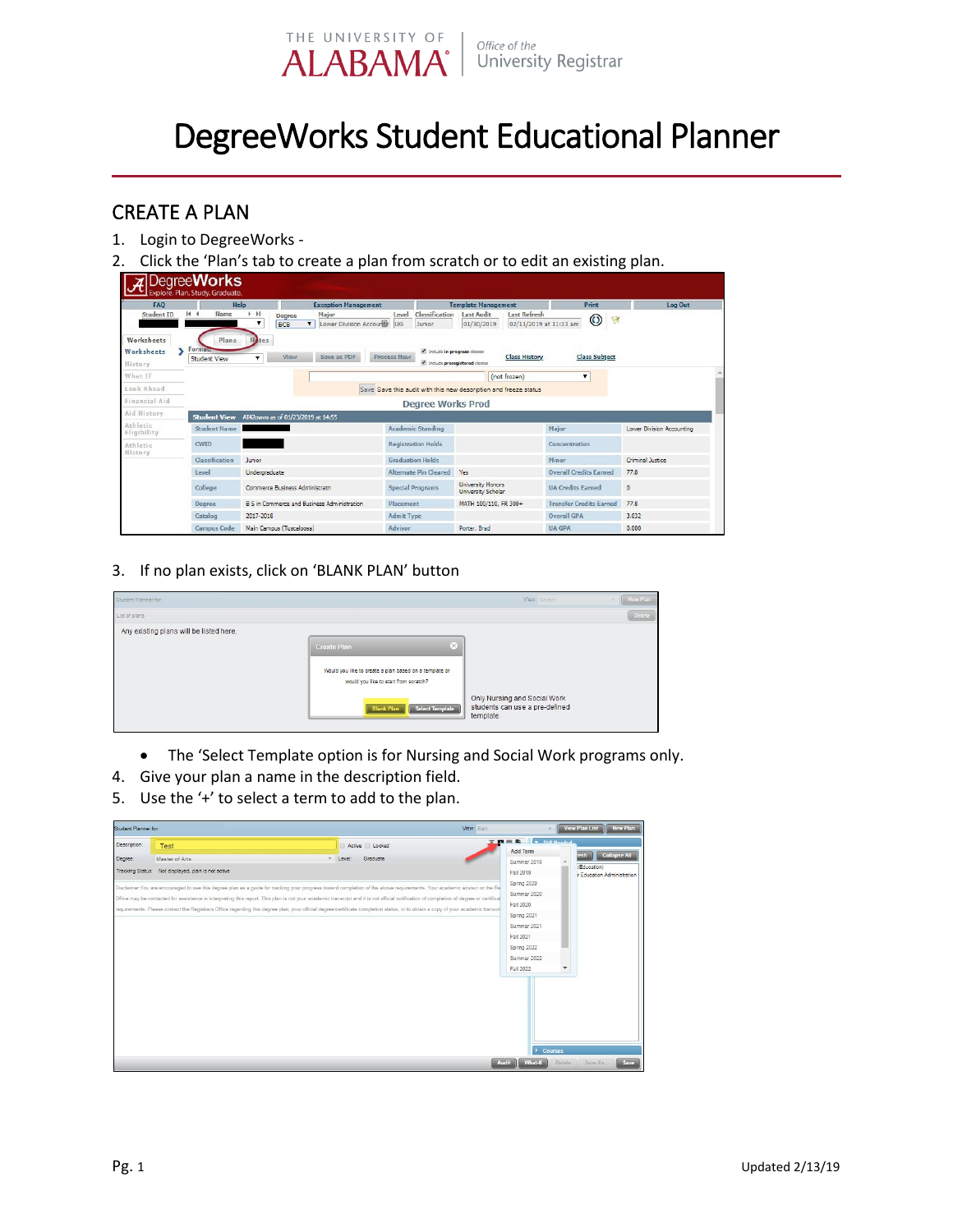

## DegreeWorks Student Educational Planner

## CREATE A PLAN

- 1. Login to DegreeWorks -
- 2. Click the 'Plan's tab to create a plan from scratch or to edit an existing plan.

| <b>FAO</b>                                                    |                                                | Help                                               |                                    | <b>Exception Management</b>                                  |                    |                                                                  | <b>Template Management</b>                     |                                               |                                | Print                |            | Log Out                   |
|---------------------------------------------------------------|------------------------------------------------|----------------------------------------------------|------------------------------------|--------------------------------------------------------------|--------------------|------------------------------------------------------------------|------------------------------------------------|-----------------------------------------------|--------------------------------|----------------------|------------|---------------------------|
| Student ID                                                    | $H - 4$<br>Name                                | $\blacktriangleright$ $\blacktriangleright$ 1<br>▼ | Degree<br><b>BCB</b>               | Major<br>Lower Division Accountin<br>$\overline{\mathbf{v}}$ | Level<br><b>UG</b> | Classification<br>Junior                                         | <b>Last Audit</b><br>01/30/2019                | <b>Last Refresh</b><br>02/11/2019 at 11:33 am |                                | $\odot$              | $\sqrt{2}$ |                           |
| Worksheets<br>Worksheets<br>History                           | <b>Plans</b><br>Formata<br><b>Student View</b> | <b>Notes</b>                                       | View                               | Save as PDF                                                  | Process New        | nelude in-progress classes<br>Include preregistered classes      |                                                | <b>Class History</b>                          |                                | <b>Class Subject</b> |            |                           |
| What If                                                       |                                                |                                                    |                                    |                                                              |                    |                                                                  |                                                | (not frozen)                                  |                                |                      |            |                           |
| Look Ahead                                                    |                                                |                                                    |                                    |                                                              |                    | Save Save this audit with this new description and freeze status |                                                |                                               |                                |                      |            |                           |
| Financial Aid                                                 |                                                |                                                    |                                    |                                                              |                    | <b>Degree Works Prod</b>                                         |                                                |                                               |                                |                      |            |                           |
|                                                               |                                                |                                                    |                                    |                                                              |                    |                                                                  |                                                |                                               |                                |                      |            |                           |
|                                                               | <b>Student View</b>                            |                                                    | AI42owvo as of 01/23/2019 at 14:55 |                                                              |                    |                                                                  |                                                |                                               |                                |                      |            |                           |
|                                                               | Student Name                                   |                                                    |                                    |                                                              |                    | <b>Academic Standing</b>                                         |                                                |                                               | Major                          |                      |            | Lower Division Accounting |
|                                                               | <b>CWID</b>                                    |                                                    |                                    |                                                              |                    | <b>Registration Holds</b>                                        |                                                |                                               | Concentration                  |                      |            |                           |
|                                                               | Classification                                 | Junior                                             |                                    |                                                              |                    | <b>Graduation Holds</b>                                          |                                                |                                               | Minor.                         |                      |            | Criminal Justice          |
|                                                               | Level                                          | Undergraduate                                      |                                    |                                                              |                    | <b>Alternate Pin Cleared</b>                                     | Yes                                            |                                               | <b>Overall Credits Earned</b>  |                      | 77.8       |                           |
|                                                               | College                                        |                                                    | Commerce Business Administrato     |                                                              |                    | <b>Special Programs</b>                                          | <b>University Honors</b><br>University Scholar |                                               | <b>UA Credits Earned</b>       |                      | $\bullet$  |                           |
|                                                               | <b>Degree</b>                                  |                                                    |                                    | B S in Commerce and Business Administration                  | Placement          |                                                                  | MATH 100/110, FR 300+                          |                                               | <b>Transfer Credits Earned</b> |                      | 77.8       |                           |
| Aid History<br>Athletic<br>Eligibility<br>Athletic<br>History | Catalog                                        | 2017-2018                                          |                                    |                                                              | <b>Admit Type</b>  |                                                                  |                                                |                                               | <b>Overall GPA</b>             |                      |            | 3.032                     |

3. If no plan exists, click on 'BLANK PLAN' button

| Student Planner for:                    |                                                                                                                                                                                  | View: Select                                                                | <b>New Plan</b><br>w. |
|-----------------------------------------|----------------------------------------------------------------------------------------------------------------------------------------------------------------------------------|-----------------------------------------------------------------------------|-----------------------|
| List of plans                           |                                                                                                                                                                                  |                                                                             | Delete                |
| Any existing plans will be listed here. | $\times$<br><b>Create Plan</b><br>Would you like to create a plan based on a template or<br>would you like to start from scratch?<br><b>Select Template</b><br><b>Blank Plan</b> | Only Nursing and Social Work<br>students can use a pre-defined<br>template. |                       |

- The 'Select Template option is for Nursing and Social Work programs only.
- 4. Give your plan a name in the description field.
- 5. Use the '+' to select a term to add to the plan.

| Student Planner for     |                                                                              |                                                                                                                                                                                                                                                                                                                                                                                                                                                                                                                                                                                                          | View Plan List   New Plan<br>View: Edit                                                                                                                                                                                                                                         |
|-------------------------|------------------------------------------------------------------------------|----------------------------------------------------------------------------------------------------------------------------------------------------------------------------------------------------------------------------------------------------------------------------------------------------------------------------------------------------------------------------------------------------------------------------------------------------------------------------------------------------------------------------------------------------------------------------------------------------------|---------------------------------------------------------------------------------------------------------------------------------------------------------------------------------------------------------------------------------------------------------------------------------|
| Description:<br>Degree: | Test<br>Master of Arts<br>Tracking Status: Not displayed, plan is not active | Active <b>El Locked</b><br>Graduate<br>Level:<br>Disclaimer: You are encouraged to use this degree plan as a guide for tracking your progress toward completion of the above requirements. Your academic advisor or the Re<br>Office may be contacted for assistance in interpreting this report. This plan is not your academic transcript and it is not official notification of completion of degree or certifical<br>requirements. Please contact the Registrars Office regarding this degree plan, your official degree/certificate completion status, or to obtain a copy of your academic transor | <b>THE RIGHTS CONSUMER</b><br>Add Term<br>Collapse All<br><b>resh</b><br>Summer 2019<br>(Education)<br>Fall 2019<br>r Education Administration<br>Spring 2020<br>Summer 2020<br>Fall 2020<br>Spring 2021<br>Summer 2021<br>Fall 2021<br>Spring 2022<br>Summer 2022<br>Fall 2022 |
|                         |                                                                              |                                                                                                                                                                                                                                                                                                                                                                                                                                                                                                                                                                                                          | Courses<br>Save<br>Delete<br>What-If<br>Save As.<br><b>Audit</b>                                                                                                                                                                                                                |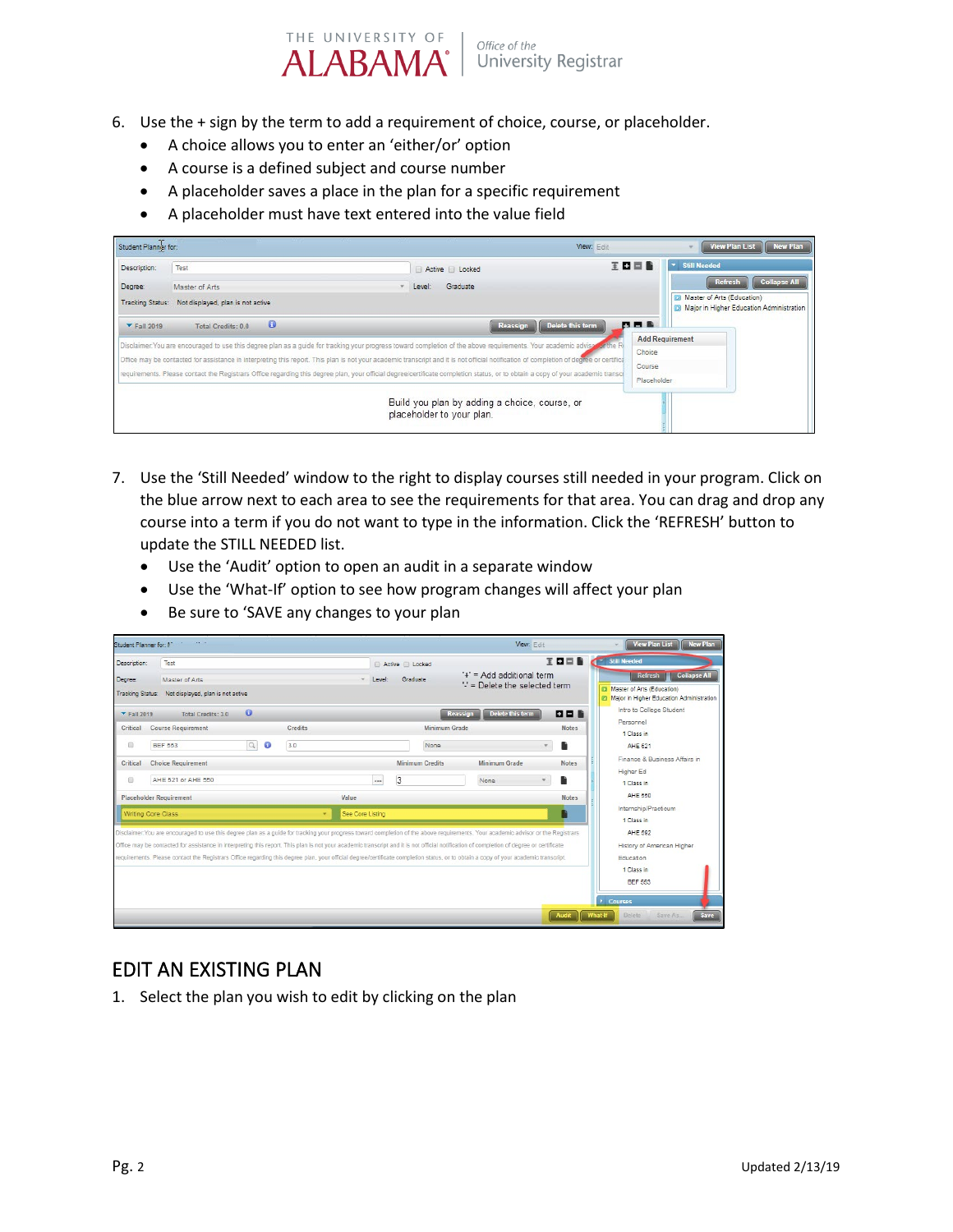

- 6. Use the + sign by the term to add a requirement of choice, course, or placeholder.
	- A choice allows you to enter an 'either/or' option
	- A course is a defined subject and course number
	- A placeholder saves a place in the plan for a specific requirement
	- A placeholder must have text entered into the value field

| Student Planner for:                               |                                                             |                                                                                                                                                                                                                                                                                                                                                                                                                                                                                                                                                                     | View: Edit                                                                           | <b>New Plan</b><br>View Plan List                                                                                                     |
|----------------------------------------------------|-------------------------------------------------------------|---------------------------------------------------------------------------------------------------------------------------------------------------------------------------------------------------------------------------------------------------------------------------------------------------------------------------------------------------------------------------------------------------------------------------------------------------------------------------------------------------------------------------------------------------------------------|--------------------------------------------------------------------------------------|---------------------------------------------------------------------------------------------------------------------------------------|
| Description:<br>Degree:<br><b>Tracking Status:</b> | Test<br>Master of Arts<br>Not displayed, plan is not active | Active <b>D</b> Locked<br>Graduate<br>Level:                                                                                                                                                                                                                                                                                                                                                                                                                                                                                                                        | 王口曰旨                                                                                 | * Still Needed<br><b>Collapse All</b><br><b>Refresh</b><br>Master of Arts (Education)<br>(b) Major in Higher Education Administration |
| $\blacktriangledown$ Fall 2019                     | $\bullet$<br>Total Credits: 0.0                             | Reassign<br>Disclaimer. You are encouraged to use this degree plan as a guide for tracking your progress toward completion of the above requirements. Your academic advise for the RI<br>Office may be contacted for assistance in interpreting this report. This plan is not your academic transcript and it is not official notification of completion of degree or certifical<br>requirements. Please contact the Registrars Office regarding this degree plan, your official degree/certificate completion status, or to obtain a copy of your academic transcr | Delete this term<br>日目目<br><b>Add Requirement</b><br>Choice<br>Course<br>Placeholder |                                                                                                                                       |
|                                                    |                                                             | Build you plan by adding a choice, course, or<br>placeholder to your plan.                                                                                                                                                                                                                                                                                                                                                                                                                                                                                          |                                                                                      |                                                                                                                                       |

- 7. Use the 'Still Needed' window to the right to display courses still needed in your program. Click on the blue arrow next to each area to see the requirements for that area. You can drag and drop any course into a term if you do not want to type in the information. Click the 'REFRESH' button to update the STILL NEEDED list.
	- Use the 'Audit' option to open an audit in a separate window
	- Use the 'What-If' option to see how program changes will affect your plan
	- Be sure to 'SAVE any changes to your plan

| 王口曰旨<br>Still Needed<br>Test<br>Description:<br>Active <b>B</b> Locked<br>'+' = Add additional term<br>Graduate<br>Degree:<br>Master of Arts<br>Level<br>$\mathbb{S}$ = Delete the selected term<br>Tracking Status: Not displayed, plan is not active<br>$\bullet$<br>Delete this term<br>日日服<br>Reassign<br>Total Credits: 3.0<br>$\blacktriangledown$ Fall 2019<br><b>Course Requirement</b><br>Minimum Grade<br>Credits<br>Critical<br><b>Notes</b>                                                                                                              | Refresh   Collapse All<br>Master of Arts (Education)<br>Major in Higher Education Administration |
|----------------------------------------------------------------------------------------------------------------------------------------------------------------------------------------------------------------------------------------------------------------------------------------------------------------------------------------------------------------------------------------------------------------------------------------------------------------------------------------------------------------------------------------------------------------------|--------------------------------------------------------------------------------------------------|
|                                                                                                                                                                                                                                                                                                                                                                                                                                                                                                                                                                      |                                                                                                  |
|                                                                                                                                                                                                                                                                                                                                                                                                                                                                                                                                                                      | Intro to College Student<br>Personnel                                                            |
| Q<br>Đ<br>$\bullet$<br>Ŀ<br><b>BEF 553</b><br>3.0<br>None                                                                                                                                                                                                                                                                                                                                                                                                                                                                                                            | 1 Class in<br>AHE 521                                                                            |
| <b>Choice Requirement</b><br>Minimum Credits<br>Minimum Grade<br><b>Notes</b><br>Critical<br>3<br>AHE 521 or AHE 550<br>0<br><br>None<br>ħ<br><b>Placeholder Requirement</b><br>Value<br><b>Notes</b>                                                                                                                                                                                                                                                                                                                                                                | Finance & Business Affairs in<br>Higher Ed<br>1 Class in<br><b>AHE 550</b>                       |
| Writing Core Class<br>See Core Listing<br>÷                                                                                                                                                                                                                                                                                                                                                                                                                                                                                                                          | Internship/Practicum<br>1 Class in                                                               |
| Disclaimer: You are encouraged to use this degree plan as a guide for tracking your progress toward completion of the above requirements. Your academic advisor or the Registrars<br>Office may be contacted for assistance in interpreting this report. This plan is not your academic transcript and it is not official notification of completion of degree or certificate<br>requirements. Please contact the Registrars Office regarding this degree plan, your official degree/certificate completion status, or to obtain a copy of your academic transcript. | AHE 592<br>History of American Higher<br><b>Education</b><br>1 Class in<br><b>BEF 553</b>        |

## EDIT AN EXISTING PLAN

1. Select the plan you wish to edit by clicking on the plan